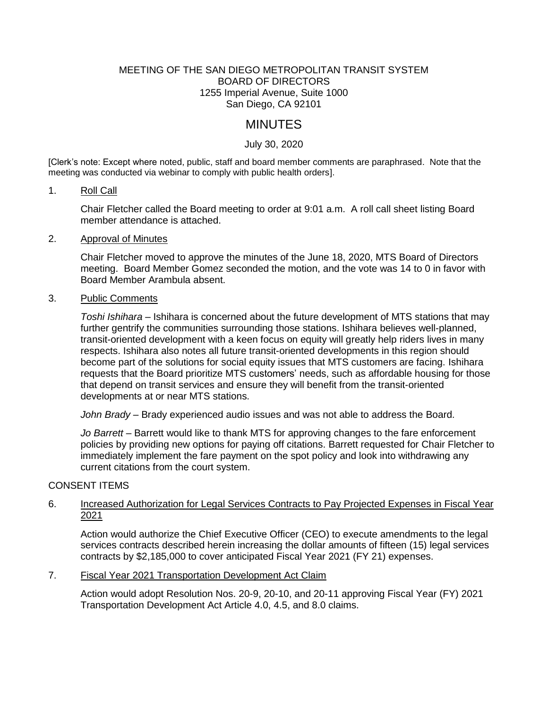### MEETING OF THE SAN DIEGO METROPOLITAN TRANSIT SYSTEM BOARD OF DIRECTORS 1255 Imperial Avenue, Suite 1000 San Diego, CA 92101

# MINUTES

# July 30, 2020

[Clerk's note: Except where noted, public, staff and board member comments are paraphrased. Note that the meeting was conducted via webinar to comply with public health orders].

#### 1. Roll Call

Chair Fletcher called the Board meeting to order at 9:01 a.m. A roll call sheet listing Board member attendance is attached.

#### 2. Approval of Minutes

Chair Fletcher moved to approve the minutes of the June 18, 2020, MTS Board of Directors meeting. Board Member Gomez seconded the motion, and the vote was 14 to 0 in favor with Board Member Arambula absent.

### 3. Public Comments

*Toshi Ishihara* – Ishihara is concerned about the future development of MTS stations that may further gentrify the communities surrounding those stations. Ishihara believes well-planned, transit-oriented development with a keen focus on equity will greatly help riders lives in many respects. Ishihara also notes all future transit-oriented developments in this region should become part of the solutions for social equity issues that MTS customers are facing. Ishihara requests that the Board prioritize MTS customers' needs, such as affordable housing for those that depend on transit services and ensure they will benefit from the transit-oriented developments at or near MTS stations.

*John Brady* – Brady experienced audio issues and was not able to address the Board.

*Jo Barrett* – Barrett would like to thank MTS for approving changes to the fare enforcement policies by providing new options for paying off citations. Barrett requested for Chair Fletcher to immediately implement the fare payment on the spot policy and look into withdrawing any current citations from the court system.

### CONSENT ITEMS

### 6. Increased Authorization for Legal Services Contracts to Pay Projected Expenses in Fiscal Year 2021

Action would authorize the Chief Executive Officer (CEO) to execute amendments to the legal services contracts described herein increasing the dollar amounts of fifteen (15) legal services contracts by \$2,185,000 to cover anticipated Fiscal Year 2021 (FY 21) expenses.

### 7. Fiscal Year 2021 Transportation Development Act Claim

Action would adopt Resolution Nos. 20-9, 20-10, and 20-11 approving Fiscal Year (FY) 2021 Transportation Development Act Article 4.0, 4.5, and 8.0 claims.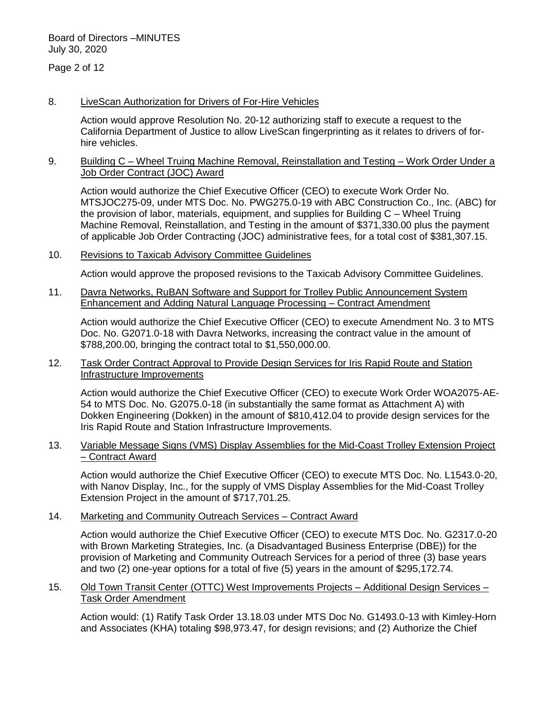Page 2 of 12

### 8. LiveScan Authorization for Drivers of For-Hire Vehicles

Action would approve Resolution No. 20-12 authorizing staff to execute a request to the California Department of Justice to allow LiveScan fingerprinting as it relates to drivers of forhire vehicles.

### 9. Building C – Wheel Truing Machine Removal, Reinstallation and Testing – Work Order Under a Job Order Contract (JOC) Award

Action would authorize the Chief Executive Officer (CEO) to execute Work Order No. MTSJOC275-09, under MTS Doc. No. PWG275.0-19 with ABC Construction Co., Inc. (ABC) for the provision of labor, materials, equipment, and supplies for Building C – Wheel Truing Machine Removal, Reinstallation, and Testing in the amount of \$371,330.00 plus the payment of applicable Job Order Contracting (JOC) administrative fees, for a total cost of \$381,307.15.

# 10. Revisions to Taxicab Advisory Committee Guidelines

Action would approve the proposed revisions to the Taxicab Advisory Committee Guidelines.

11. Davra Networks, RuBAN Software and Support for Trolley Public Announcement System Enhancement and Adding Natural Language Processing – Contract Amendment

Action would authorize the Chief Executive Officer (CEO) to execute Amendment No. 3 to MTS Doc. No. G2071.0-18 with Davra Networks, increasing the contract value in the amount of \$788,200.00, bringing the contract total to \$1,550,000.00.

# 12. Task Order Contract Approval to Provide Design Services for Iris Rapid Route and Station Infrastructure Improvements

Action would authorize the Chief Executive Officer (CEO) to execute Work Order WOA2075-AE-54 to MTS Doc. No. G2075.0-18 (in substantially the same format as Attachment A) with Dokken Engineering (Dokken) in the amount of \$810,412.04 to provide design services for the Iris Rapid Route and Station Infrastructure Improvements.

# 13. Variable Message Signs (VMS) Display Assemblies for the Mid-Coast Trolley Extension Project – Contract Award

Action would authorize the Chief Executive Officer (CEO) to execute MTS Doc. No. L1543.0-20, with Nanov Display, Inc., for the supply of VMS Display Assemblies for the Mid-Coast Trolley Extension Project in the amount of \$717,701.25.

# 14. Marketing and Community Outreach Services – Contract Award

Action would authorize the Chief Executive Officer (CEO) to execute MTS Doc. No. G2317.0-20 with Brown Marketing Strategies, Inc. (a Disadvantaged Business Enterprise (DBE)) for the provision of Marketing and Community Outreach Services for a period of three (3) base years and two (2) one-year options for a total of five (5) years in the amount of \$295,172.74.

# 15. Old Town Transit Center (OTTC) West Improvements Projects – Additional Design Services – Task Order Amendment

Action would: (1) Ratify Task Order 13.18.03 under MTS Doc No. G1493.0-13 with Kimley-Horn and Associates (KHA) totaling \$98,973.47, for design revisions; and (2) Authorize the Chief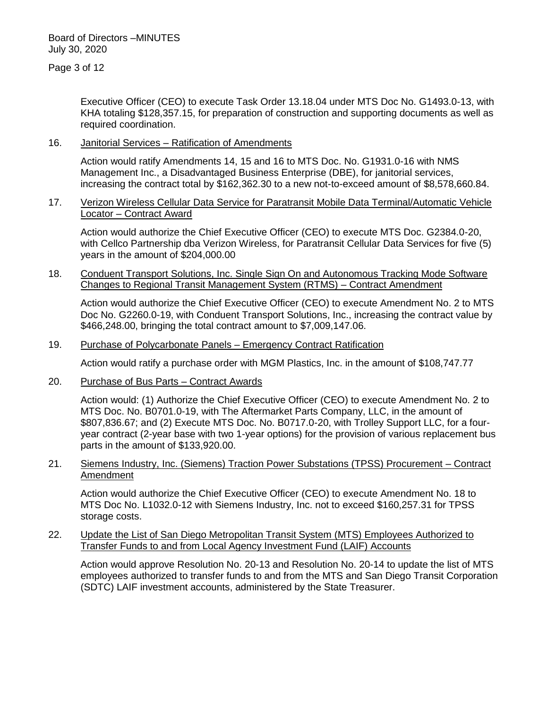Executive Officer (CEO) to execute Task Order 13.18.04 under MTS Doc No. G1493.0-13, with KHA totaling \$128,357.15, for preparation of construction and supporting documents as well as required coordination.

# 16. Janitorial Services – Ratification of Amendments

Action would ratify Amendments 14, 15 and 16 to MTS Doc. No. G1931.0-16 with NMS Management Inc., a Disadvantaged Business Enterprise (DBE), for janitorial services, increasing the contract total by \$162,362.30 to a new not-to-exceed amount of \$8,578,660.84.

### 17. Verizon Wireless Cellular Data Service for Paratransit Mobile Data Terminal/Automatic Vehicle Locator – Contract Award

Action would authorize the Chief Executive Officer (CEO) to execute MTS Doc. G2384.0-20, with Cellco Partnership dba Verizon Wireless, for Paratransit Cellular Data Services for five (5) years in the amount of \$204,000.00

# 18. Conduent Transport Solutions, Inc. Single Sign On and Autonomous Tracking Mode Software Changes to Regional Transit Management System (RTMS) – Contract Amendment

Action would authorize the Chief Executive Officer (CEO) to execute Amendment No. 2 to MTS Doc No. G2260.0-19, with Conduent Transport Solutions, Inc., increasing the contract value by \$466,248.00, bringing the total contract amount to \$7,009,147.06.

#### 19. Purchase of Polycarbonate Panels – Emergency Contract Ratification

Action would ratify a purchase order with MGM Plastics, Inc. in the amount of \$108,747.77

20. Purchase of Bus Parts – Contract Awards

Action would: (1) Authorize the Chief Executive Officer (CEO) to execute Amendment No. 2 to MTS Doc. No. B0701.0-19, with The Aftermarket Parts Company, LLC, in the amount of \$807,836.67; and (2) Execute MTS Doc. No. B0717.0-20, with Trolley Support LLC, for a fouryear contract (2-year base with two 1-year options) for the provision of various replacement bus parts in the amount of \$133,920.00.

### 21. Siemens Industry, Inc. (Siemens) Traction Power Substations (TPSS) Procurement – Contract Amendment

Action would authorize the Chief Executive Officer (CEO) to execute Amendment No. 18 to MTS Doc No. L1032.0-12 with Siemens Industry, Inc. not to exceed \$160,257.31 for TPSS storage costs.

### 22. Update the List of San Diego Metropolitan Transit System (MTS) Employees Authorized to Transfer Funds to and from Local Agency Investment Fund (LAIF) Accounts

Action would approve Resolution No. 20-13 and Resolution No. 20-14 to update the list of MTS employees authorized to transfer funds to and from the MTS and San Diego Transit Corporation (SDTC) LAIF investment accounts, administered by the State Treasurer.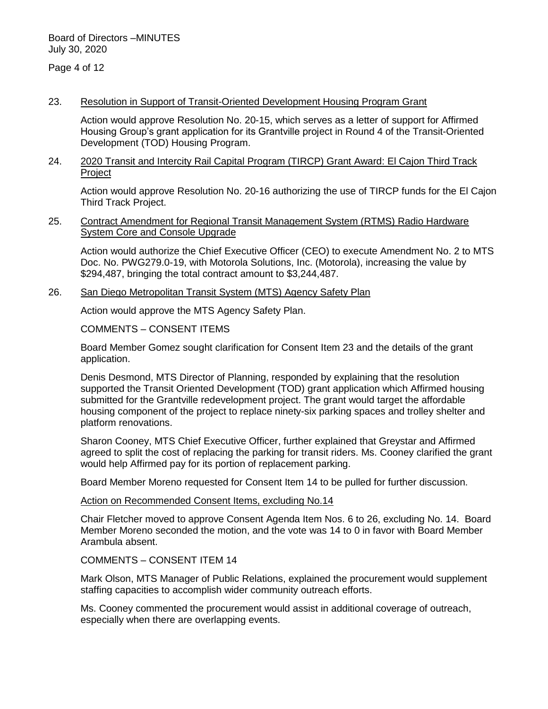Page 4 of 12

#### 23. Resolution in Support of Transit-Oriented Development Housing Program Grant

Action would approve Resolution No. 20-15, which serves as a letter of support for Affirmed Housing Group's grant application for its Grantville project in Round 4 of the Transit-Oriented Development (TOD) Housing Program.

### 24. 2020 Transit and Intercity Rail Capital Program (TIRCP) Grant Award: El Cajon Third Track Project

Action would approve Resolution No. 20-16 authorizing the use of TIRCP funds for the El Cajon Third Track Project.

### 25. Contract Amendment for Regional Transit Management System (RTMS) Radio Hardware System Core and Console Upgrade

Action would authorize the Chief Executive Officer (CEO) to execute Amendment No. 2 to MTS Doc. No. PWG279.0-19, with Motorola Solutions, Inc. (Motorola), increasing the value by \$294,487, bringing the total contract amount to \$3,244,487.

#### 26. San Diego Metropolitan Transit System (MTS) Agency Safety Plan

Action would approve the MTS Agency Safety Plan.

#### COMMENTS – CONSENT ITEMS

Board Member Gomez sought clarification for Consent Item 23 and the details of the grant application.

Denis Desmond, MTS Director of Planning, responded by explaining that the resolution supported the Transit Oriented Development (TOD) grant application which Affirmed housing submitted for the Grantville redevelopment project. The grant would target the affordable housing component of the project to replace ninety-six parking spaces and trolley shelter and platform renovations.

Sharon Cooney, MTS Chief Executive Officer, further explained that Greystar and Affirmed agreed to split the cost of replacing the parking for transit riders. Ms. Cooney clarified the grant would help Affirmed pay for its portion of replacement parking.

Board Member Moreno requested for Consent Item 14 to be pulled for further discussion.

#### Action on Recommended Consent Items, excluding No.14

Chair Fletcher moved to approve Consent Agenda Item Nos. 6 to 26, excluding No. 14. Board Member Moreno seconded the motion, and the vote was 14 to 0 in favor with Board Member Arambula absent.

#### COMMENTS – CONSENT ITEM 14

Mark Olson, MTS Manager of Public Relations, explained the procurement would supplement staffing capacities to accomplish wider community outreach efforts.

Ms. Cooney commented the procurement would assist in additional coverage of outreach, especially when there are overlapping events.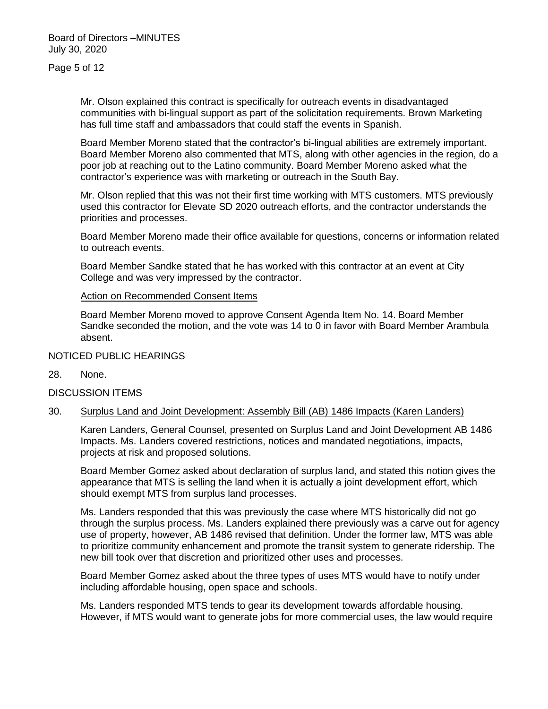Page 5 of 12

Mr. Olson explained this contract is specifically for outreach events in disadvantaged communities with bi-lingual support as part of the solicitation requirements. Brown Marketing has full time staff and ambassadors that could staff the events in Spanish.

Board Member Moreno stated that the contractor's bi-lingual abilities are extremely important. Board Member Moreno also commented that MTS, along with other agencies in the region, do a poor job at reaching out to the Latino community. Board Member Moreno asked what the contractor's experience was with marketing or outreach in the South Bay.

Mr. Olson replied that this was not their first time working with MTS customers. MTS previously used this contractor for Elevate SD 2020 outreach efforts, and the contractor understands the priorities and processes.

Board Member Moreno made their office available for questions, concerns or information related to outreach events.

Board Member Sandke stated that he has worked with this contractor at an event at City College and was very impressed by the contractor.

# Action on Recommended Consent Items

Board Member Moreno moved to approve Consent Agenda Item No. 14. Board Member Sandke seconded the motion, and the vote was 14 to 0 in favor with Board Member Arambula absent.

# NOTICED PUBLIC HEARINGS

28. None.

### DISCUSSION ITEMS

30. Surplus Land and Joint Development: Assembly Bill (AB) 1486 Impacts (Karen Landers)

Karen Landers, General Counsel, presented on Surplus Land and Joint Development AB 1486 Impacts. Ms. Landers covered restrictions, notices and mandated negotiations, impacts, projects at risk and proposed solutions.

Board Member Gomez asked about declaration of surplus land, and stated this notion gives the appearance that MTS is selling the land when it is actually a joint development effort, which should exempt MTS from surplus land processes.

Ms. Landers responded that this was previously the case where MTS historically did not go through the surplus process. Ms. Landers explained there previously was a carve out for agency use of property, however, AB 1486 revised that definition. Under the former law, MTS was able to prioritize community enhancement and promote the transit system to generate ridership. The new bill took over that discretion and prioritized other uses and processes.

Board Member Gomez asked about the three types of uses MTS would have to notify under including affordable housing, open space and schools.

Ms. Landers responded MTS tends to gear its development towards affordable housing. However, if MTS would want to generate jobs for more commercial uses, the law would require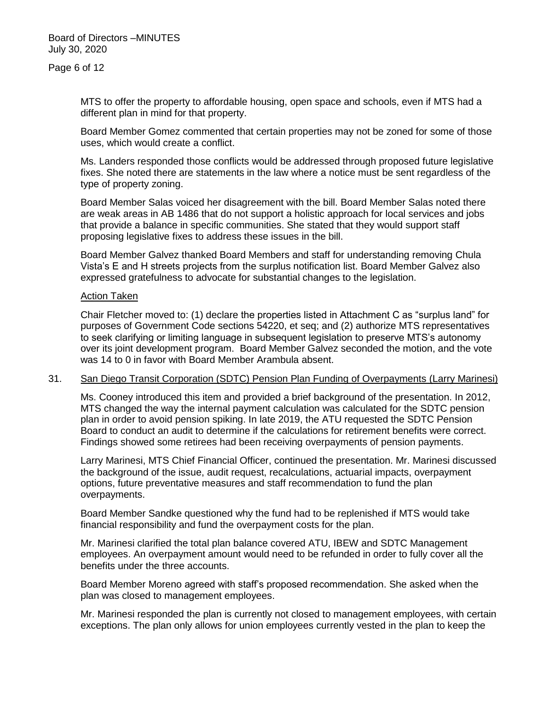MTS to offer the property to affordable housing, open space and schools, even if MTS had a different plan in mind for that property.

Board Member Gomez commented that certain properties may not be zoned for some of those uses, which would create a conflict.

Ms. Landers responded those conflicts would be addressed through proposed future legislative fixes. She noted there are statements in the law where a notice must be sent regardless of the type of property zoning.

Board Member Salas voiced her disagreement with the bill. Board Member Salas noted there are weak areas in AB 1486 that do not support a holistic approach for local services and jobs that provide a balance in specific communities. She stated that they would support staff proposing legislative fixes to address these issues in the bill.

Board Member Galvez thanked Board Members and staff for understanding removing Chula Vista's E and H streets projects from the surplus notification list. Board Member Galvez also expressed gratefulness to advocate for substantial changes to the legislation.

### Action Taken

Chair Fletcher moved to: (1) declare the properties listed in Attachment C as "surplus land" for purposes of Government Code sections 54220, et seq; and (2) authorize MTS representatives to seek clarifying or limiting language in subsequent legislation to preserve MTS's autonomy over its joint development program. Board Member Galvez seconded the motion, and the vote was 14 to 0 in favor with Board Member Arambula absent.

### 31. San Diego Transit Corporation (SDTC) Pension Plan Funding of Overpayments (Larry Marinesi)

Ms. Cooney introduced this item and provided a brief background of the presentation. In 2012, MTS changed the way the internal payment calculation was calculated for the SDTC pension plan in order to avoid pension spiking. In late 2019, the ATU requested the SDTC Pension Board to conduct an audit to determine if the calculations for retirement benefits were correct. Findings showed some retirees had been receiving overpayments of pension payments.

Larry Marinesi, MTS Chief Financial Officer, continued the presentation. Mr. Marinesi discussed the background of the issue, audit request, recalculations, actuarial impacts, overpayment options, future preventative measures and staff recommendation to fund the plan overpayments.

Board Member Sandke questioned why the fund had to be replenished if MTS would take financial responsibility and fund the overpayment costs for the plan.

Mr. Marinesi clarified the total plan balance covered ATU, IBEW and SDTC Management employees. An overpayment amount would need to be refunded in order to fully cover all the benefits under the three accounts.

Board Member Moreno agreed with staff's proposed recommendation. She asked when the plan was closed to management employees.

Mr. Marinesi responded the plan is currently not closed to management employees, with certain exceptions. The plan only allows for union employees currently vested in the plan to keep the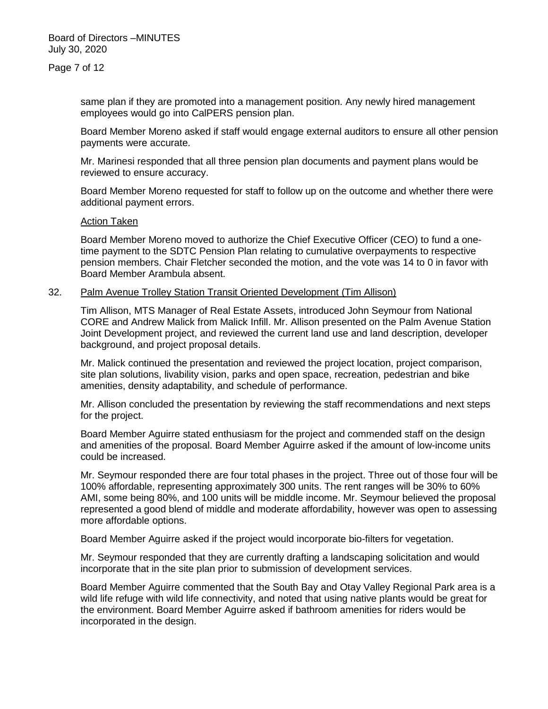same plan if they are promoted into a management position. Any newly hired management employees would go into CalPERS pension plan.

Board Member Moreno asked if staff would engage external auditors to ensure all other pension payments were accurate.

Mr. Marinesi responded that all three pension plan documents and payment plans would be reviewed to ensure accuracy.

Board Member Moreno requested for staff to follow up on the outcome and whether there were additional payment errors.

#### Action Taken

Board Member Moreno moved to authorize the Chief Executive Officer (CEO) to fund a onetime payment to the SDTC Pension Plan relating to cumulative overpayments to respective pension members. Chair Fletcher seconded the motion, and the vote was 14 to 0 in favor with Board Member Arambula absent.

# 32. Palm Avenue Trolley Station Transit Oriented Development (Tim Allison)

Tim Allison, MTS Manager of Real Estate Assets, introduced John Seymour from National CORE and Andrew Malick from Malick Infill. Mr. Allison presented on the Palm Avenue Station Joint Development project, and reviewed the current land use and land description, developer background, and project proposal details.

Mr. Malick continued the presentation and reviewed the project location, project comparison, site plan solutions, livability vision, parks and open space, recreation, pedestrian and bike amenities, density adaptability, and schedule of performance.

Mr. Allison concluded the presentation by reviewing the staff recommendations and next steps for the project.

Board Member Aguirre stated enthusiasm for the project and commended staff on the design and amenities of the proposal. Board Member Aguirre asked if the amount of low-income units could be increased.

Mr. Seymour responded there are four total phases in the project. Three out of those four will be 100% affordable, representing approximately 300 units. The rent ranges will be 30% to 60% AMI, some being 80%, and 100 units will be middle income. Mr. Seymour believed the proposal represented a good blend of middle and moderate affordability, however was open to assessing more affordable options.

Board Member Aguirre asked if the project would incorporate bio-filters for vegetation.

Mr. Seymour responded that they are currently drafting a landscaping solicitation and would incorporate that in the site plan prior to submission of development services.

Board Member Aguirre commented that the South Bay and Otay Valley Regional Park area is a wild life refuge with wild life connectivity, and noted that using native plants would be great for the environment. Board Member Aguirre asked if bathroom amenities for riders would be incorporated in the design.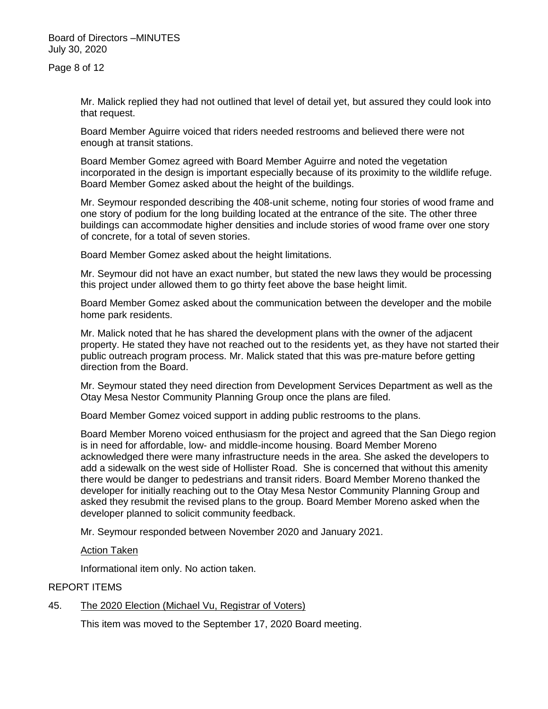Page 8 of 12

Mr. Malick replied they had not outlined that level of detail yet, but assured they could look into that request.

Board Member Aguirre voiced that riders needed restrooms and believed there were not enough at transit stations.

Board Member Gomez agreed with Board Member Aguirre and noted the vegetation incorporated in the design is important especially because of its proximity to the wildlife refuge. Board Member Gomez asked about the height of the buildings.

Mr. Seymour responded describing the 408-unit scheme, noting four stories of wood frame and one story of podium for the long building located at the entrance of the site. The other three buildings can accommodate higher densities and include stories of wood frame over one story of concrete, for a total of seven stories.

Board Member Gomez asked about the height limitations.

Mr. Seymour did not have an exact number, but stated the new laws they would be processing this project under allowed them to go thirty feet above the base height limit.

Board Member Gomez asked about the communication between the developer and the mobile home park residents.

Mr. Malick noted that he has shared the development plans with the owner of the adjacent property. He stated they have not reached out to the residents yet, as they have not started their public outreach program process. Mr. Malick stated that this was pre-mature before getting direction from the Board.

Mr. Seymour stated they need direction from Development Services Department as well as the Otay Mesa Nestor Community Planning Group once the plans are filed.

Board Member Gomez voiced support in adding public restrooms to the plans.

Board Member Moreno voiced enthusiasm for the project and agreed that the San Diego region is in need for affordable, low- and middle-income housing. Board Member Moreno acknowledged there were many infrastructure needs in the area. She asked the developers to add a sidewalk on the west side of Hollister Road. She is concerned that without this amenity there would be danger to pedestrians and transit riders. Board Member Moreno thanked the developer for initially reaching out to the Otay Mesa Nestor Community Planning Group and asked they resubmit the revised plans to the group. Board Member Moreno asked when the developer planned to solicit community feedback.

Mr. Seymour responded between November 2020 and January 2021.

#### **Action Taken**

Informational item only. No action taken.

### REPORT ITEMS

# 45. The 2020 Election (Michael Vu, Registrar of Voters)

This item was moved to the September 17, 2020 Board meeting.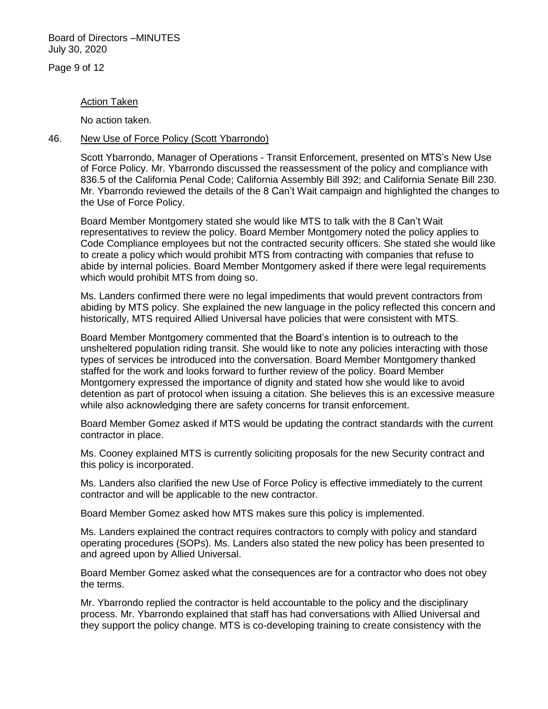Page 9 of 12

#### Action Taken

No action taken.

### 46. New Use of Force Policy (Scott Ybarrondo)

Scott Ybarrondo, Manager of Operations - Transit Enforcement, presented on MTS's New Use of Force Policy. Mr. Ybarrondo discussed the reassessment of the policy and compliance with 836.5 of the California Penal Code; California Assembly Bill 392; and California Senate Bill 230. Mr. Ybarrondo reviewed the details of the 8 Can't Wait campaign and highlighted the changes to the Use of Force Policy.

Board Member Montgomery stated she would like MTS to talk with the 8 Can't Wait representatives to review the policy. Board Member Montgomery noted the policy applies to Code Compliance employees but not the contracted security officers. She stated she would like to create a policy which would prohibit MTS from contracting with companies that refuse to abide by internal policies. Board Member Montgomery asked if there were legal requirements which would prohibit MTS from doing so.

Ms. Landers confirmed there were no legal impediments that would prevent contractors from abiding by MTS policy. She explained the new language in the policy reflected this concern and historically, MTS required Allied Universal have policies that were consistent with MTS.

Board Member Montgomery commented that the Board's intention is to outreach to the unsheltered population riding transit. She would like to note any policies interacting with those types of services be introduced into the conversation. Board Member Montgomery thanked staffed for the work and looks forward to further review of the policy. Board Member Montgomery expressed the importance of dignity and stated how she would like to avoid detention as part of protocol when issuing a citation. She believes this is an excessive measure while also acknowledging there are safety concerns for transit enforcement.

Board Member Gomez asked if MTS would be updating the contract standards with the current contractor in place.

Ms. Cooney explained MTS is currently soliciting proposals for the new Security contract and this policy is incorporated.

Ms. Landers also clarified the new Use of Force Policy is effective immediately to the current contractor and will be applicable to the new contractor.

Board Member Gomez asked how MTS makes sure this policy is implemented.

Ms. Landers explained the contract requires contractors to comply with policy and standard operating procedures (SOPs). Ms. Landers also stated the new policy has been presented to and agreed upon by Allied Universal.

Board Member Gomez asked what the consequences are for a contractor who does not obey the terms.

Mr. Ybarrondo replied the contractor is held accountable to the policy and the disciplinary process. Mr. Ybarrondo explained that staff has had conversations with Allied Universal and they support the policy change. MTS is co-developing training to create consistency with the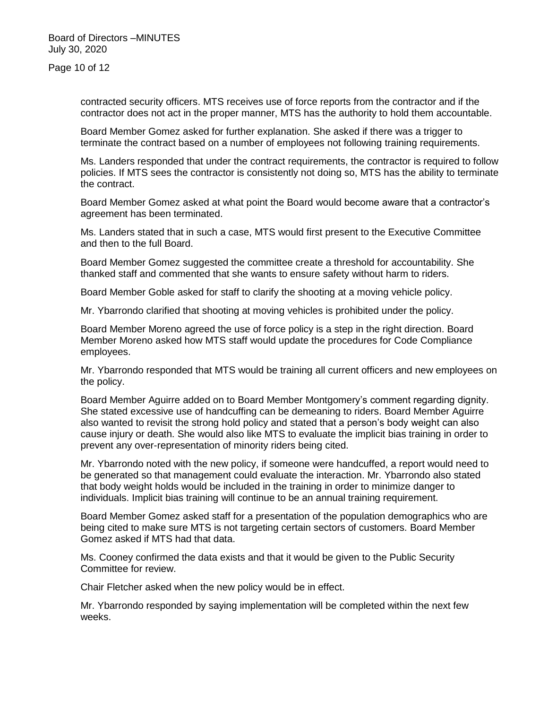Page 10 of 12

contracted security officers. MTS receives use of force reports from the contractor and if the contractor does not act in the proper manner, MTS has the authority to hold them accountable.

Board Member Gomez asked for further explanation. She asked if there was a trigger to terminate the contract based on a number of employees not following training requirements.

Ms. Landers responded that under the contract requirements, the contractor is required to follow policies. If MTS sees the contractor is consistently not doing so, MTS has the ability to terminate the contract.

Board Member Gomez asked at what point the Board would become aware that a contractor's agreement has been terminated.

Ms. Landers stated that in such a case, MTS would first present to the Executive Committee and then to the full Board.

Board Member Gomez suggested the committee create a threshold for accountability. She thanked staff and commented that she wants to ensure safety without harm to riders.

Board Member Goble asked for staff to clarify the shooting at a moving vehicle policy.

Mr. Ybarrondo clarified that shooting at moving vehicles is prohibited under the policy.

Board Member Moreno agreed the use of force policy is a step in the right direction. Board Member Moreno asked how MTS staff would update the procedures for Code Compliance employees.

Mr. Ybarrondo responded that MTS would be training all current officers and new employees on the policy.

Board Member Aguirre added on to Board Member Montgomery's comment regarding dignity. She stated excessive use of handcuffing can be demeaning to riders. Board Member Aguirre also wanted to revisit the strong hold policy and stated that a person's body weight can also cause injury or death. She would also like MTS to evaluate the implicit bias training in order to prevent any over-representation of minority riders being cited.

Mr. Ybarrondo noted with the new policy, if someone were handcuffed, a report would need to be generated so that management could evaluate the interaction. Mr. Ybarrondo also stated that body weight holds would be included in the training in order to minimize danger to individuals. Implicit bias training will continue to be an annual training requirement.

Board Member Gomez asked staff for a presentation of the population demographics who are being cited to make sure MTS is not targeting certain sectors of customers. Board Member Gomez asked if MTS had that data.

Ms. Cooney confirmed the data exists and that it would be given to the Public Security Committee for review.

Chair Fletcher asked when the new policy would be in effect.

Mr. Ybarrondo responded by saying implementation will be completed within the next few weeks.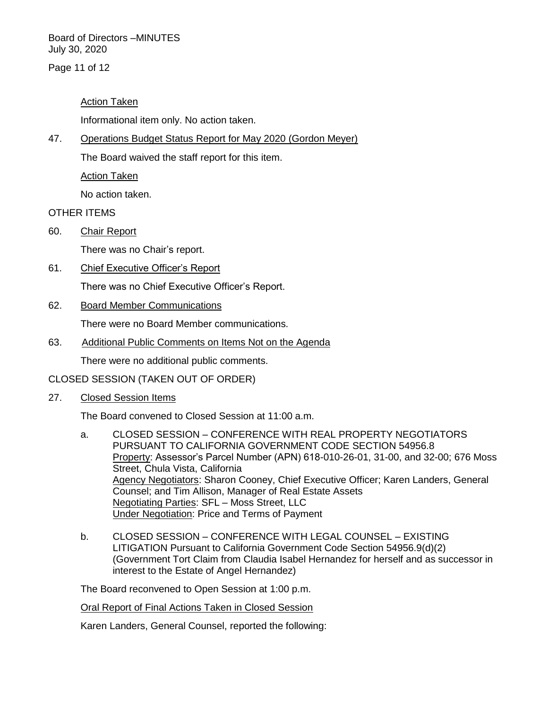Page 11 of 12

# Action Taken

Informational item only. No action taken.

47. Operations Budget Status Report for May 2020 (Gordon Meyer)

The Board waived the staff report for this item.

Action Taken

No action taken.

# OTHER ITEMS

60. Chair Report

There was no Chair's report.

61. Chief Executive Officer's Report

There was no Chief Executive Officer's Report.

62. Board Member Communications

There were no Board Member communications.

63. Additional Public Comments on Items Not on the Agenda

There were no additional public comments.

# CLOSED SESSION (TAKEN OUT OF ORDER)

27. Closed Session Items

The Board convened to Closed Session at 11:00 a.m.

- a. CLOSED SESSION CONFERENCE WITH REAL PROPERTY NEGOTIATORS PURSUANT TO CALIFORNIA GOVERNMENT CODE SECTION 54956.8 Property: Assessor's Parcel Number (APN) 618-010-26-01, 31-00, and 32-00; 676 Moss Street, Chula Vista, California Agency Negotiators: Sharon Cooney, Chief Executive Officer; Karen Landers, General Counsel; and Tim Allison, Manager of Real Estate Assets Negotiating Parties: SFL – Moss Street, LLC Under Negotiation: Price and Terms of Payment
- b. CLOSED SESSION CONFERENCE WITH LEGAL COUNSEL EXISTING LITIGATION Pursuant to California Government Code Section 54956.9(d)(2) (Government Tort Claim from Claudia Isabel Hernandez for herself and as successor in interest to the Estate of Angel Hernandez)

The Board reconvened to Open Session at 1:00 p.m.

Oral Report of Final Actions Taken in Closed Session

Karen Landers, General Counsel, reported the following: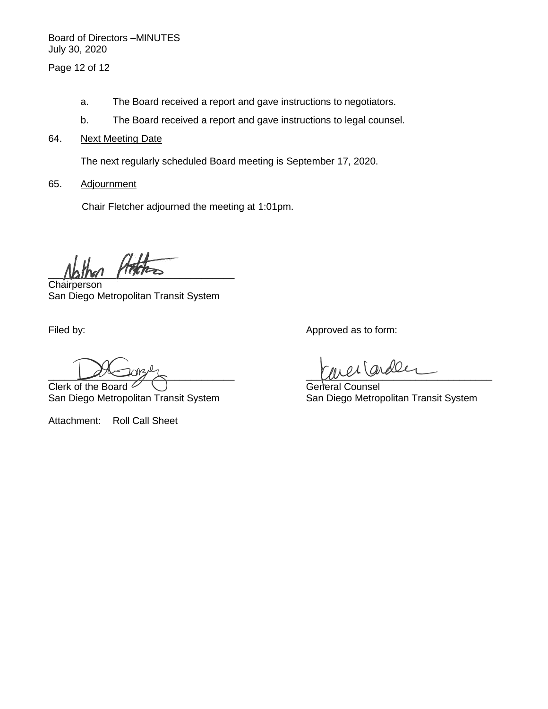Page 12 of 12

- a. The Board received a report and gave instructions to negotiators.
- b. The Board received a report and gave instructions to legal counsel.
- 64. Next Meeting Date

The next regularly scheduled Board meeting is September 17, 2020.

65. Adjournment

Chair Fletcher adjourned the meeting at 1:01pm.

 $\mu$ 

**Chairperson** San Diego Metropolitan Transit System

Clerk of the Board  $\vee \cup$ San Diego Metropolitan Transit System San Diego Metropolitan Transit System

Attachment: Roll Call Sheet

Filed by:  $\blacksquare$  Approved as to form:

 $u \sim (and \&$